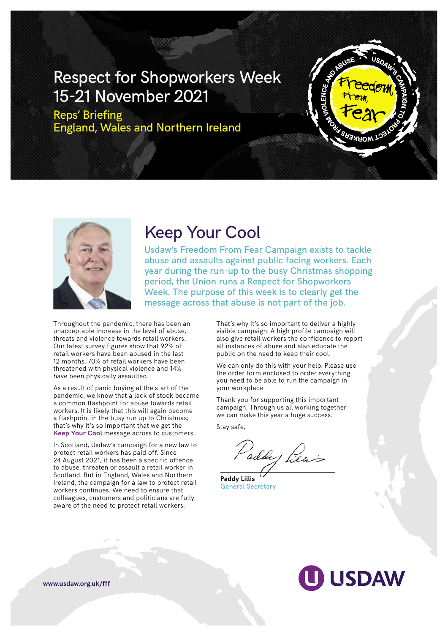## Respect for Shopworkers Week 15-21 November 2021

Reps' Briefing England, Wales and Northern Ireland





## Keep Your Cool

Usdaw's Freedom From Fear Campaign exists to tackle abuse and assaults against public facing workers. Each year during the run-up to the busy Christmas shopping period, the Union runs a Respect for Shopworkers Week. The purpose of this week is to clearly get the message across that abuse is not part of the job.

Throughout the pandemic, there has been an unacceptable increase in the level of abuse, threats and violence towards retail workers. Our latest survey figures show that 92% of retail workers have been abused in the last 12 months. 70% of retail workers have been threatened with physical violence and 14% have been physically assaulted.

As a result of panic buying at the start of the pandemic, we know that a lack of stock became a common flashpoint for abuse towards retail workers. It is likely that this will again become a flashpoint in the busy run up to Christmas; that's why it's so important that we get the **Keep Your Cool** message across to customers.

In Scotland, Usdaw's campaign for a new law to protect retail workers has paid off. Since 24 August 2021, it has been a specific offence to abuse, threaten or assault a retail worker in Scotland. But in England, Wales and Northern Ireland, the campaign for a law to protect retail workers continues. We need to ensure that colleagues, customers and politicians are fully aware of the need to protect retail workers.

That's why it's so important to deliver a highly visible campaign. A high profile campaign will also give retail workers the confidence to report all instances of abuse and also educate the public on the need to keep their cool.

We can only do this with your help. Please use the order form enclosed to order everything you need to be able to run the campaign in your workplace.

Thank you for supporting this important campaign. Through us all working together we can make this year a huge success.

Stay safe,

Paddy Piers

**Paddy Lillis** General Secretary

# **USDAW**

**www.usdaw.org.uk/fff**